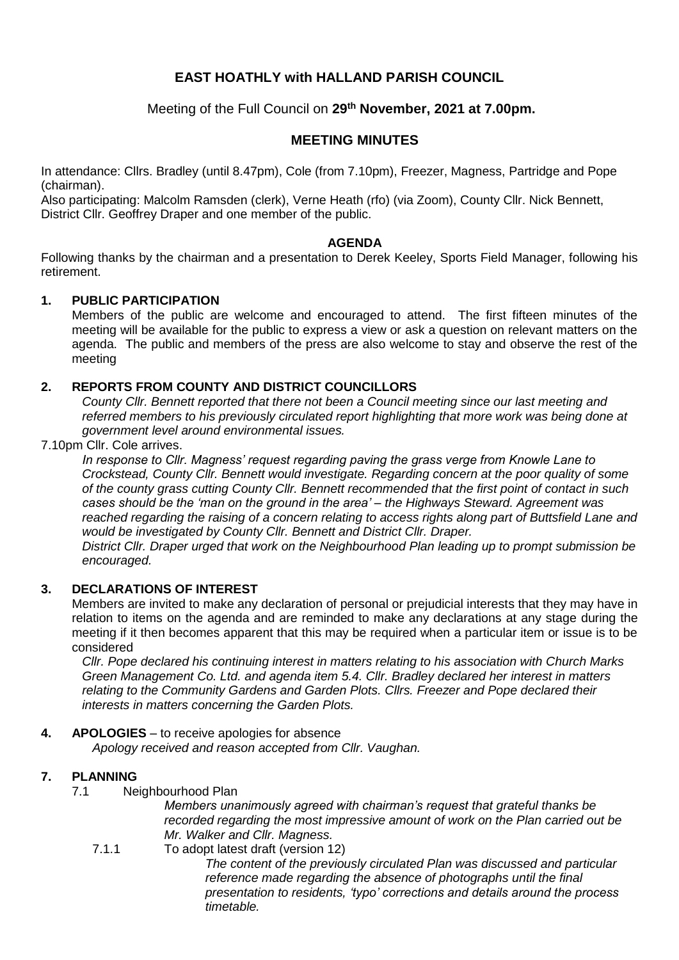# **EAST HOATHLY with HALLAND PARISH COUNCIL**

# Meeting of the Full Council on **29th November, 2021 at 7.00pm.**

# **MEETING MINUTES**

In attendance: Cllrs. Bradley (until 8.47pm), Cole (from 7.10pm), Freezer, Magness, Partridge and Pope (chairman).

Also participating: Malcolm Ramsden (clerk), Verne Heath (rfo) (via Zoom), County Cllr. Nick Bennett, District Cllr. Geoffrey Draper and one member of the public.

### **AGENDA**

Following thanks by the chairman and a presentation to Derek Keeley, Sports Field Manager, following his retirement.

## **1. PUBLIC PARTICIPATION**

Members of the public are welcome and encouraged to attend. The first fifteen minutes of the meeting will be available for the public to express a view or ask a question on relevant matters on the agenda. The public and members of the press are also welcome to stay and observe the rest of the meeting

## **2. REPORTS FROM COUNTY AND DISTRICT COUNCILLORS**

*County Cllr. Bennett reported that there not been a Council meeting since our last meeting and referred members to his previously circulated report highlighting that more work was being done at government level around environmental issues.* 

### 7.10pm Cllr. Cole arrives.

*In response to Cllr. Magness' request regarding paving the grass verge from Knowle Lane to Crockstead, County Cllr. Bennett would investigate. Regarding concern at the poor quality of some of the county grass cutting County Cllr. Bennett recommended that the first point of contact in such cases should be the 'man on the ground in the area' – the Highways Steward. Agreement was reached regarding the raising of a concern relating to access rights along part of Buttsfield Lane and would be investigated by County Cllr. Bennett and District Cllr. Draper.*

*District Cllr. Draper urged that work on the Neighbourhood Plan leading up to prompt submission be encouraged.* 

### **3. DECLARATIONS OF INTEREST**

Members are invited to make any declaration of personal or prejudicial interests that they may have in relation to items on the agenda and are reminded to make any declarations at any stage during the meeting if it then becomes apparent that this may be required when a particular item or issue is to be considered

*Cllr. Pope declared his continuing interest in matters relating to his association with Church Marks Green Management Co. Ltd. and agenda item 5.4. Cllr. Bradley declared her interest in matters relating to the Community Gardens and Garden Plots. Cllrs. Freezer and Pope declared their interests in matters concerning the Garden Plots.*

**4. APOLOGIES** – to receive apologies for absence

*Apology received and reason accepted from Cllr. Vaughan.*

### **7. PLANNING**

7.1 Neighbourhood Plan

*Members unanimously agreed with chairman's request that grateful thanks be recorded regarding the most impressive amount of work on the Plan carried out be Mr. Walker and Cllr. Magness.*

7.1.1 To adopt latest draft (version 12) *The content of the previously circulated Plan was discussed and particular reference made regarding the absence of photographs until the final presentation to residents, 'typo' corrections and details around the process timetable.*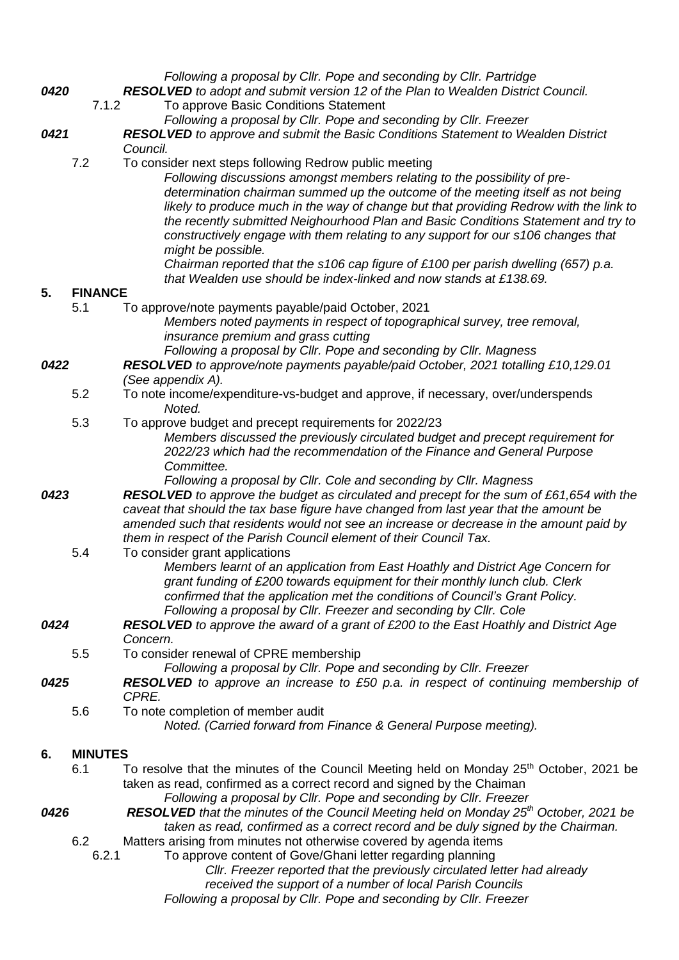*Following a proposal by Cllr. Pope and seconding by Cllr. Partridge*

- *0420 RESOLVED to adopt and submit version 12 of the Plan to Wealden District Council.* 
	- 7.1.2 To approve Basic Conditions Statement *Following a proposal by Cllr. Pope and seconding by Cllr. Freezer*
- *0421 RESOLVED to approve and submit the Basic Conditions Statement to Wealden District Council.* 
	- 7.2 To consider next steps following Redrow public meeting
		- *Following discussions amongst members relating to the possibility of predetermination chairman summed up the outcome of the meeting itself as not being likely to produce much in the way of change but that providing Redrow with the link to the recently submitted Neighourhood Plan and Basic Conditions Statement and try to constructively engage with them relating to any support for our s106 changes that might be possible.*

*Chairman reported that the s106 cap figure of £100 per parish dwelling (657) p.a. that Wealden use should be index-linked and now stands at £138.69.*

# **5. FINANCE**

- 5.1 To approve/note payments payable/paid October, 2021
	- *Members noted payments in respect of topographical survey, tree removal, insurance premium and grass cutting*
- *Following a proposal by Cllr. Pope and seconding by Cllr. Magness 0422 RESOLVED to approve/note payments payable/paid October, 2021 totalling £10,129.01 (See appendix A).*
	- 5.2 To note income/expenditure-vs-budget and approve, if necessary, over/underspends *Noted.*
		- 5.3 To approve budget and precept requirements for 2022/23 *Members discussed the previously circulated budget and precept requirement for*

*2022/23 which had the recommendation of the Finance and General Purpose Committee.*

*Following a proposal by Cllr. Cole and seconding by Cllr. Magness*

- *0423 RESOLVED to approve the budget as circulated and precept for the sum of £61,654 with the caveat that should the tax base figure have changed from last year that the amount be amended such that residents would not see an increase or decrease in the amount paid by them in respect of the Parish Council element of their Council Tax.* 
	- 5.4 To consider grant applications

*Members learnt of an application from East Hoathly and District Age Concern for grant funding of £200 towards equipment for their monthly lunch club. Clerk confirmed that the application met the conditions of Council's Grant Policy. Following a proposal by Cllr. Freezer and seconding by Cllr. Cole*

- *0424 RESOLVED to approve the award of a grant of £200 to the East Hoathly and District Age Concern.* 
	- 5.5 To consider renewal of CPRE membership

*Following a proposal by Cllr. Pope and seconding by Cllr. Freezer*

- *0425 RESOLVED to approve an increase to £50 p.a. in respect of continuing membership of CPRE.* 
	- 5.6 To note completion of member audit

*Noted. (Carried forward from Finance & General Purpose meeting).*

# **6. MINUTES**

6.1 To resolve that the minutes of the Council Meeting held on Monday  $25<sup>th</sup>$  October, 2021 be taken as read, confirmed as a correct record and signed by the Chaiman *Following a proposal by Cllr. Pope and seconding by Cllr. Freezer*

*0426 RESOLVED that the minutes of the Council Meeting held on Monday 25th October, 2021 be*

*taken as read, confirmed as a correct record and be duly signed by the Chairman.*

6.2 Matters arising from minutes not otherwise covered by agenda items

6.2.1 To approve content of Gove/Ghani letter regarding planning

*Cllr. Freezer reported that the previously circulated letter had already* 

*received the support of a number of local Parish Councils*

*Following a proposal by Cllr. Pope and seconding by Cllr. Freezer*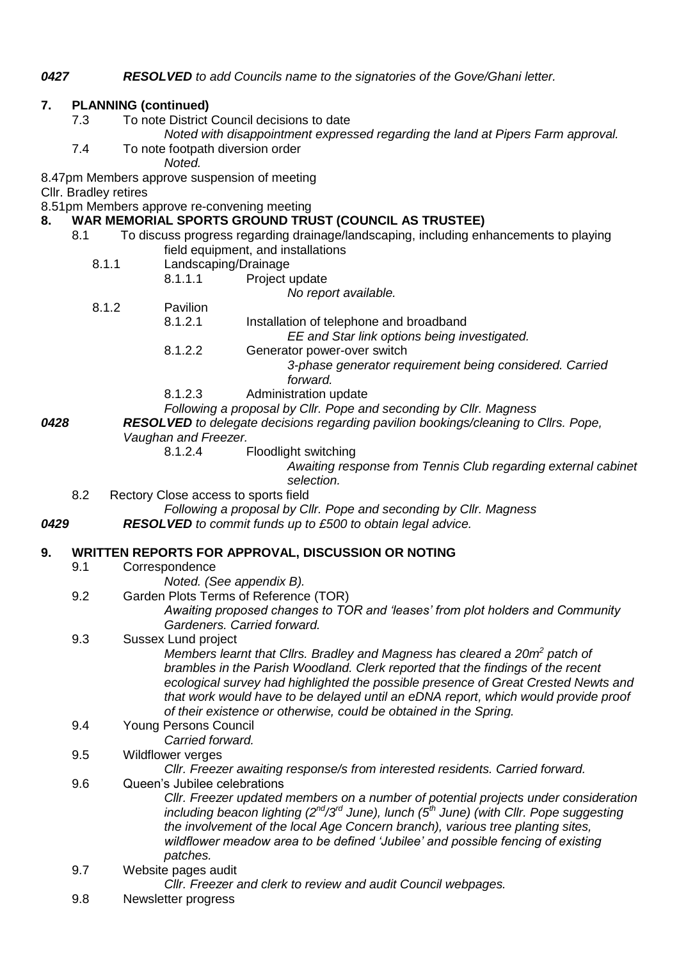## *0427 RESOLVED to add Councils name to the signatories of the Gove/Ghani letter.*

## **7. PLANNING (continued)**

7.3 To note District Council decisions to date

*Noted with disappointment expressed regarding the land at Pipers Farm approval.*

7.4 To note footpath diversion order *Noted.*

8.47pm Members approve suspension of meeting

Cllr. Bradley retires

8.51pm Members approve re-convening meeting

# **8. WAR MEMORIAL SPORTS GROUND TRUST (COUNCIL AS TRUSTEE)**

- 8.1 To discuss progress regarding drainage/landscaping, including enhancements to playing field equipment, and installations
	- 8.1.1 Landscaping/Drainage
		- 8.1.1.1 Project update

*No report available.*

8.1.2 Pavilion

8.1.2.1 Installation of telephone and broadband

*EE and Star link options being investigated.*

8.1.2.2 Generator power-over switch

*3-phase generator requirement being considered. Carried forward.*

- 8.1.2.3 Administration update
- *Following a proposal by Cllr. Pope and seconding by Cllr. Magness*

*0428 RESOLVED to delegate decisions regarding pavilion bookings/cleaning to Cllrs. Pope,* 

*Vaughan and Freezer.*

8.1.2.4 Floodlight switching

*Awaiting response from Tennis Club regarding external cabinet* 

*selection.*

8.2 Rectory Close access to sports field

*Following a proposal by Cllr. Pope and seconding by Cllr. Magness*

*0429 RESOLVED to commit funds up to £500 to obtain legal advice.*

### **9. WRITTEN REPORTS FOR APPROVAL, DISCUSSION OR NOTING**

- 9.1 Correspondence
	- *Noted. (See appendix B).*
- 9.2 Garden Plots Terms of Reference (TOR)

*Awaiting proposed changes to TOR and 'leases' from plot holders and Community Gardeners. Carried forward.*

9.3 Sussex Lund project

*Members learnt that Cllrs. Bradley and Magness has cleared a 20m<sup>2</sup> patch of brambles in the Parish Woodland. Clerk reported that the findings of the recent ecological survey had highlighted the possible presence of Great Crested Newts and that work would have to be delayed until an eDNA report, which would provide proof of their existence or otherwise, could be obtained in the Spring.*

- 9.4 Young Persons Council
	- *Carried forward.*
- 9.5 Wildflower verges

*Cllr. Freezer awaiting response/s from interested residents. Carried forward.*

9.6 Queen's Jubilee celebrations

*Cllr. Freezer updated members on a number of potential projects under consideration including beacon lighting (2nd/3rd June), lunch (5th June) (with Cllr. Pope suggesting the involvement of the local Age Concern branch), various tree planting sites, wildflower meadow area to be defined 'Jubilee' and possible fencing of existing patches.*

9.7 Website pages audit

*Cllr. Freezer and clerk to review and audit Council webpages.*

9.8 Newsletter progress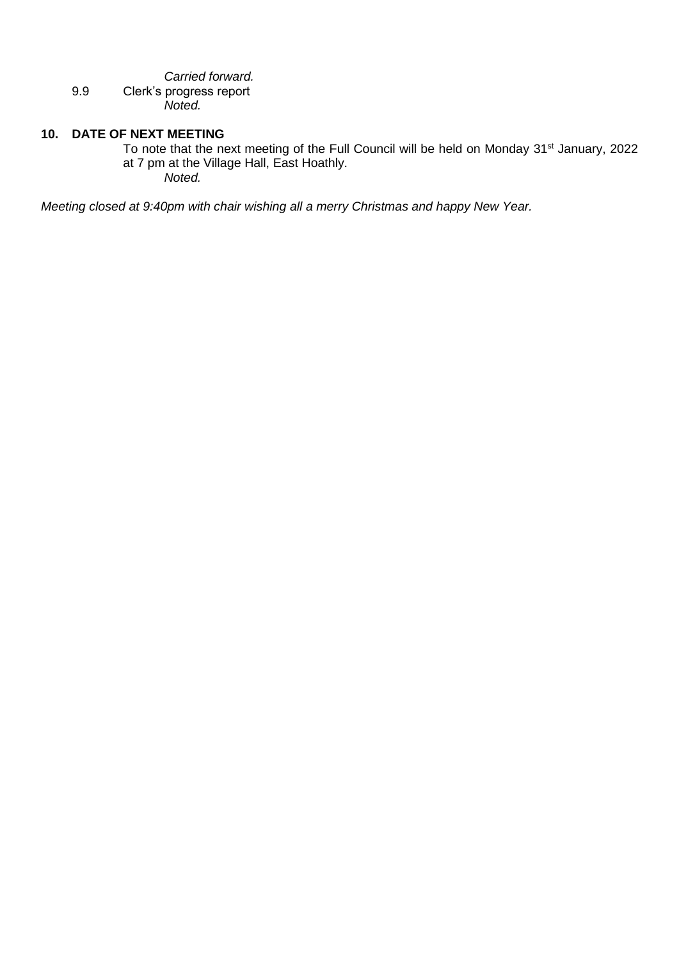*Carried forward.*

9.9 Clerk's progress report *Noted.*

# **10. DATE OF NEXT MEETING**

To note that the next meeting of the Full Council will be held on Monday 31<sup>st</sup> January, 2022 at 7 pm at the Village Hall, East Hoathly. *Noted.*

*Meeting closed at 9:40pm with chair wishing all a merry Christmas and happy New Year.*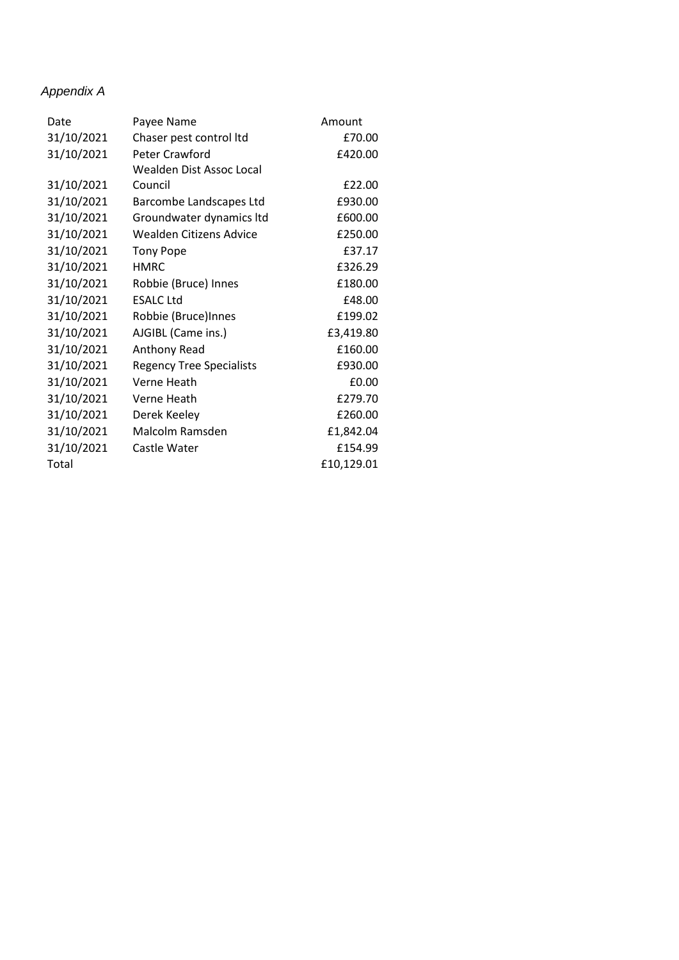# *Appendix A*

| Date       | Payee Name                      | Amount     |
|------------|---------------------------------|------------|
| 31/10/2021 | Chaser pest control Itd         | £70.00     |
| 31/10/2021 | Peter Crawford                  | £420.00    |
|            | Wealden Dist Assoc Local        |            |
| 31/10/2021 | Council                         | £22.00     |
| 31/10/2021 | Barcombe Landscapes Ltd         | £930.00    |
| 31/10/2021 | Groundwater dynamics Itd        | £600.00    |
| 31/10/2021 | <b>Wealden Citizens Advice</b>  | £250.00    |
| 31/10/2021 | <b>Tony Pope</b>                | £37.17     |
| 31/10/2021 | <b>HMRC</b>                     | £326.29    |
| 31/10/2021 | Robbie (Bruce) Innes            | £180.00    |
| 31/10/2021 | <b>ESALC Ltd</b>                | £48.00     |
| 31/10/2021 | Robbie (Bruce) Innes            | £199.02    |
| 31/10/2021 | AJGIBL (Came ins.)              | £3,419.80  |
| 31/10/2021 | Anthony Read                    | £160.00    |
| 31/10/2021 | <b>Regency Tree Specialists</b> | £930.00    |
| 31/10/2021 | Verne Heath                     | £0.00      |
| 31/10/2021 | Verne Heath                     | £279.70    |
| 31/10/2021 | Derek Keeley                    | £260.00    |
| 31/10/2021 | Malcolm Ramsden                 | £1,842.04  |
| 31/10/2021 | Castle Water                    | £154.99    |
| Total      |                                 | £10,129.01 |